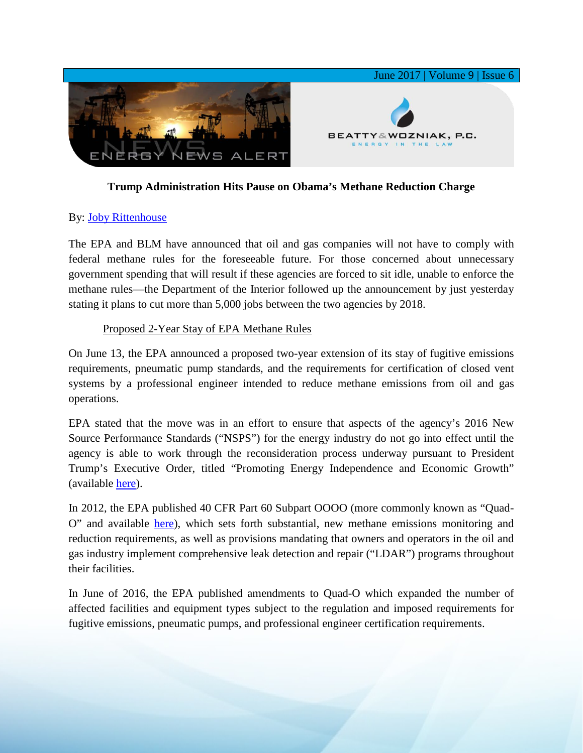

## **Trump Administration Hits Pause on Obama's Methane Reduction Charge**

## By: [Joby Rittenhouse](https://www.bwenergylaw.com/joby-rittenhouse)

The EPA and BLM have announced that oil and gas companies will not have to comply with federal methane rules for the foreseeable future. For those concerned about unnecessary government spending that will result if these agencies are forced to sit idle, unable to enforce the methane rules—the Department of the Interior followed up the announcement by just yesterday stating it plans to cut more than 5,000 jobs between the two agencies by 2018.

## Proposed 2-Year Stay of EPA Methane Rules

On June 13, the EPA announced a proposed two-year extension of its stay of fugitive emissions requirements, pneumatic pump standards, and the requirements for certification of closed vent systems by a professional engineer intended to reduce methane emissions from oil and gas operations.

EPA stated that the move was in an effort to ensure that aspects of the agency's 2016 New Source Performance Standards ("NSPS") for the energy industry do not go into effect until the agency is able to work through the reconsideration process underway pursuant to President Trump's Executive Order, titled "Promoting Energy Independence and Economic Growth" (available [here\)](https://www.whitehouse.gov/the-press-office/2017/03/28/presidential-executive-order-promoting-energy-independence-and-economi-1).

In 2012, the EPA published 40 CFR Part 60 Subpart OOOO (more commonly known as "Quad-O" and available [here\)](https://www.ecfr.gov/cgi-bin/text-idx?node=sp40.7.60.oooo), which sets forth substantial, new methane emissions monitoring and reduction requirements, as well as provisions mandating that owners and operators in the oil and gas industry implement comprehensive leak detection and repair ("LDAR") programs throughout their facilities.

In June of 2016, the EPA published amendments to Quad-O which expanded the number of affected facilities and equipment types subject to the regulation and imposed requirements for fugitive emissions, pneumatic pumps, and professional engineer certification requirements.